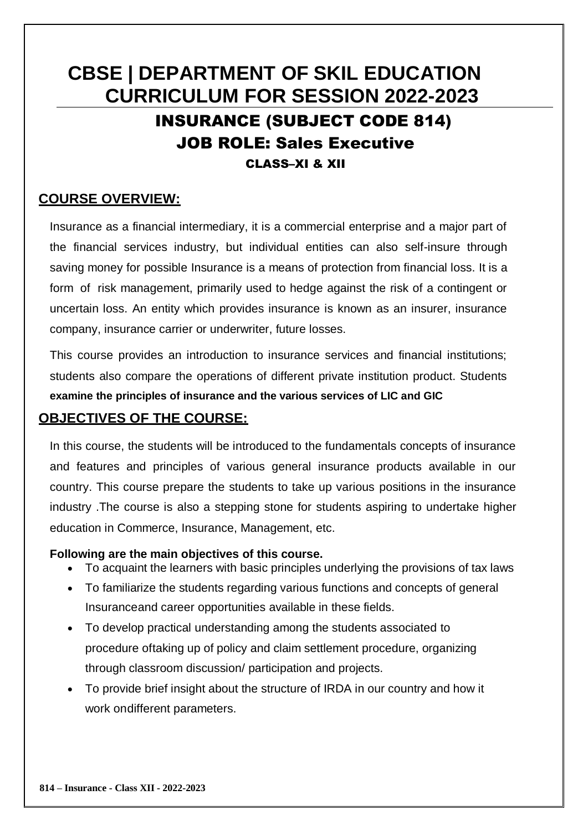# **CBSE | DEPARTMENT OF SKIL EDUCATION CURRICULUM FOR SESSION 2022-2023** INSURANCE (SUBJECT CODE 814) JOB ROLE: Sales Executive CLASS–XI & XII

# **COURSE OVERVIEW:**

Insurance as a financial intermediary, it is a commercial enterprise and a major part of the financial services industry, but individual entities can also self-insure through saving money for possible Insurance is a means of protection from financial loss. It is a form of risk management, primarily used to hedge against the risk of a contingent or uncertain loss. An entity which provides insurance is known as an insurer, insurance company, insurance carrier or underwriter, future losses.

This course provides an introduction to insurance services and financial institutions; students also compare the operations of different private institution product. Students **examine the principles of insurance and the various services of LIC and GIC**

# **OBJECTIVES OF THE COURSE:**

In this course, the students will be introduced to the fundamentals concepts of insurance and features and principles of various general insurance products available in our country. This course prepare the students to take up various positions in the insurance industry .The course is also a stepping stone for students aspiring to undertake higher education in Commerce, Insurance, Management, etc.

### **Following are the main objectives of this course.**

- To acquaint the learners with basic principles underlying the provisions of tax laws
- To familiarize the students regarding various functions and concepts of general Insuranceand career opportunities available in these fields.
- To develop practical understanding among the students associated to procedure oftaking up of policy and claim settlement procedure, organizing through classroom discussion/ participation and projects.
- To provide brief insight about the structure of IRDA in our country and how it work ondifferent parameters.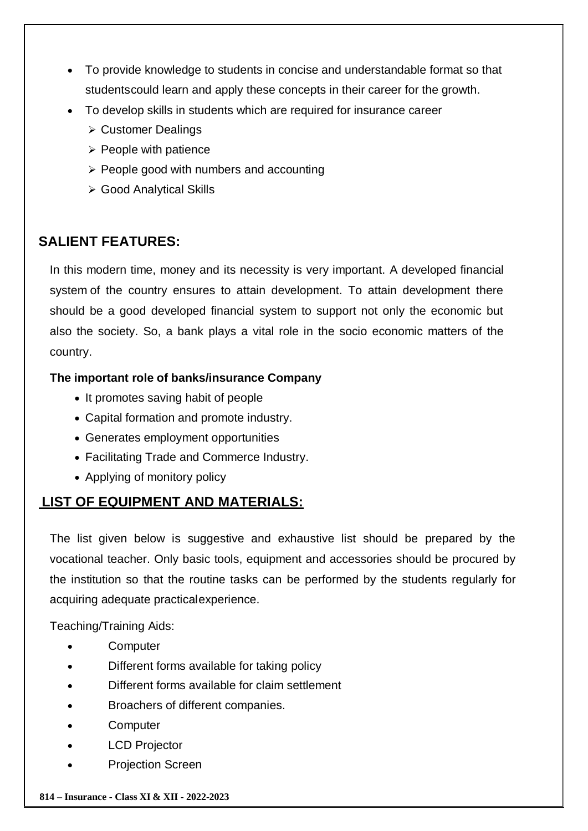- To provide knowledge to students in concise and understandable format so that studentscould learn and apply these concepts in their career for the growth.
- To develop skills in students which are required for insurance career
	- **► Customer Dealings**
	- $\triangleright$  People with patience
	- $\triangleright$  People good with numbers and accounting
	- Good Analytical Skills

# **SALIENT FEATURES:**

In this modern time, money and its necessity is very important. A developed financial system of the country ensures to attain development. To attain development there should be a good developed financial system to support not only the economic but also the society. So, a bank plays a vital role in the socio economic matters of the country.

### **The important role of banks/insurance Company**

- It promotes saving habit of people
- Capital formation and promote industry.
- Generates employment opportunities
- Facilitating Trade and Commerce Industry.
- Applying of monitory policy

# **LIST OF EQUIPMENT AND MATERIALS:**

The list given below is suggestive and exhaustive list should be prepared by the vocational teacher. Only basic tools, equipment and accessories should be procured by the institution so that the routine tasks can be performed by the students regularly for acquiring adequate practicalexperience.

Teaching/Training Aids:

- **Computer**
- Different forms available for taking policy
- Different forms available for claim settlement
- Broachers of different companies.
- **Computer**
- LCD Projector
- Projection Screen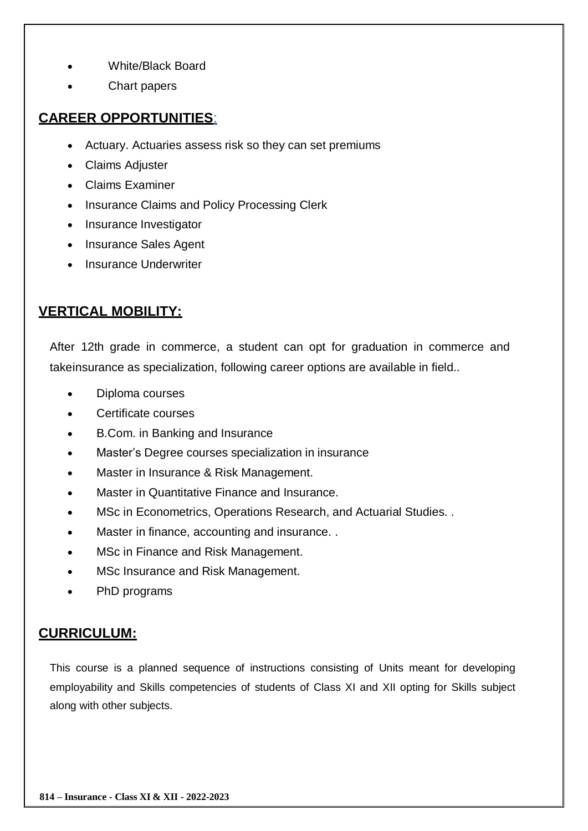- White/Black Board
- Chart papers

# **CAREER OPPORTUNITIES**:

- Actuary. Actuaries assess risk so they can set premiums
- Claims Adjuster
- Claims Examiner
- Insurance Claims and Policy Processing Clerk
- Insurance Investigator
- Insurance Sales Agent
- Insurance Underwriter

# **VERTICAL MOBILITY:**

After 12th grade in commerce, a student can opt for graduation in commerce and takeinsurance as specialization, following career options are available in field..

- Diploma courses
- Certificate courses
- B.Com. in Banking and Insurance
- Master's Degree courses specialization in insurance
- Master in Insurance & Risk Management.
- Master in Quantitative Finance and Insurance.
- MSc in Econometrics, Operations Research, and Actuarial Studies. .
- Master in finance, accounting and insurance. .
- MSc in Finance and Risk Management.
- MSc Insurance and Risk Management.
- PhD programs

# **CURRICULUM:**

This course is a planned sequence of instructions consisting of Units meant for developing employability and Skills competencies of students of Class XI and XII opting for Skills subject along with other subjects.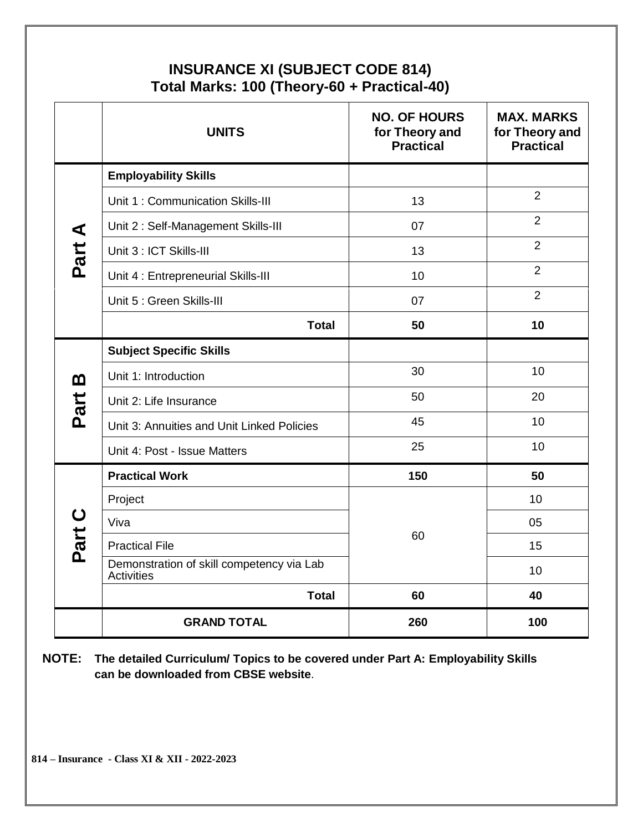# **INSURANCE XI (SUBJECT CODE 814) Total Marks: 100 (Theory-60 + Practical-40)**

|                      | <b>UNITS</b>                                                   | <b>NO. OF HOURS</b><br>for Theory and<br><b>Practical</b> | <b>MAX. MARKS</b><br>for Theory and<br><b>Practical</b> |
|----------------------|----------------------------------------------------------------|-----------------------------------------------------------|---------------------------------------------------------|
|                      | <b>Employability Skills</b>                                    |                                                           |                                                         |
|                      | Unit 1: Communication Skills-III                               | 13                                                        | $\overline{2}$                                          |
| $\blacktriangleleft$ | Unit 2: Self-Management Skills-III                             | 07                                                        | $\overline{2}$                                          |
| Part                 | Unit 3 : ICT Skills-III                                        | 13                                                        | $\overline{2}$                                          |
|                      | Unit 4 : Entrepreneurial Skills-III                            | 10                                                        | $\overline{2}$                                          |
|                      | Unit 5 : Green Skills-III                                      | 07                                                        | $\overline{2}$                                          |
|                      | <b>Total</b>                                                   | 50                                                        | 10                                                      |
|                      | <b>Subject Specific Skills</b>                                 |                                                           |                                                         |
| m                    | Unit 1: Introduction                                           | 30                                                        | 10                                                      |
| Part                 | Unit 2: Life Insurance                                         | 50                                                        | 20                                                      |
|                      | Unit 3: Annuities and Unit Linked Policies                     | 45                                                        | 10                                                      |
|                      | Unit 4: Post - Issue Matters                                   | 25                                                        | 10                                                      |
|                      | <b>Practical Work</b>                                          | 150                                                       | 50                                                      |
|                      | Project                                                        |                                                           | 10                                                      |
|                      | Viva                                                           |                                                           | 05                                                      |
| Part C               | <b>Practical File</b>                                          | 60                                                        | 15                                                      |
|                      | Demonstration of skill competency via Lab<br><b>Activities</b> |                                                           | 10                                                      |
|                      | <b>Total</b>                                                   | 60                                                        | 40                                                      |
|                      | <b>GRAND TOTAL</b>                                             | 260                                                       | 100                                                     |

**NOTE: The detailed Curriculum/ Topics to be covered under Part A: Employability Skills can be downloaded from CBSE website**.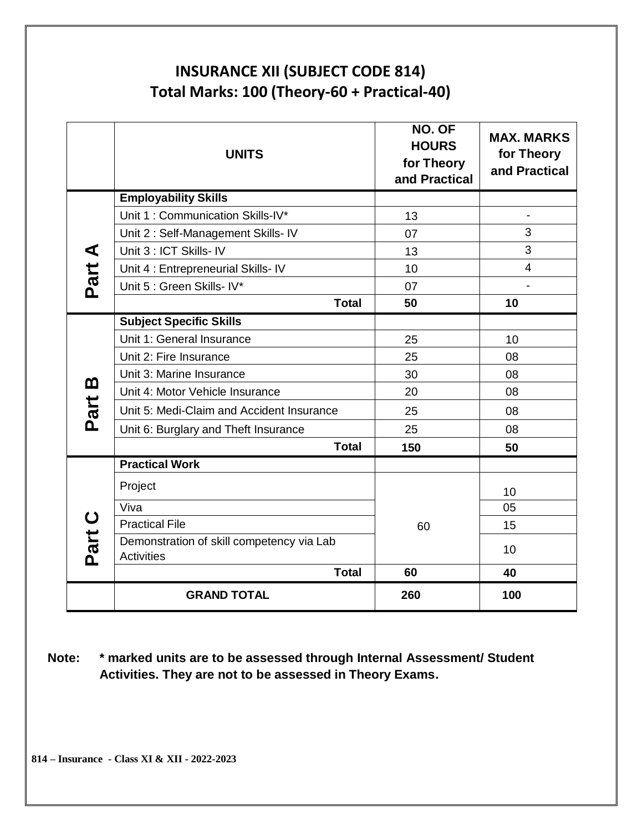# **INSURANCE XII (SUBJECT CODE 814) Total Marks: 100 (Theory-60 + Practical-40)**

|                     | <b>UNITS</b>                                                   | NO. OF<br><b>HOURS</b><br>for Theory<br>and Practical | <b>MAX. MARKS</b><br>for Theory<br>and Practical |
|---------------------|----------------------------------------------------------------|-------------------------------------------------------|--------------------------------------------------|
|                     | <b>Employability Skills</b>                                    |                                                       |                                                  |
|                     | Unit 1: Communication Skills-IV*                               | 13                                                    |                                                  |
|                     | Unit 2: Self-Management Skills- IV                             | 07                                                    | 3                                                |
| ⋖                   | Unit 3 : ICT Skills- IV                                        | 13                                                    | 3                                                |
|                     | Unit 4 : Entrepreneurial Skills- IV                            | 10                                                    | $\overline{4}$                                   |
| Part                | Unit 5 : Green Skills- IV*                                     | 07                                                    |                                                  |
|                     | <b>Total</b>                                                   | 50                                                    | 10                                               |
|                     | <b>Subject Specific Skills</b>                                 |                                                       |                                                  |
|                     | Unit 1: General Insurance                                      | 25                                                    | 10                                               |
|                     | Unit 2: Fire Insurance                                         | 25                                                    | 08                                               |
| m                   | Unit 3: Marine Insurance                                       | 30                                                    | 08                                               |
|                     | Unit 4: Motor Vehicle Insurance                                | 20                                                    | 08                                               |
| Part                | Unit 5: Medi-Claim and Accident Insurance                      | 25                                                    | 08                                               |
|                     | Unit 6: Burglary and Theft Insurance                           | 25                                                    | 08                                               |
|                     | <b>Total</b>                                                   | 150                                                   | 50                                               |
|                     | <b>Practical Work</b>                                          |                                                       |                                                  |
|                     | Project                                                        |                                                       | 10                                               |
|                     | Viva                                                           |                                                       | 05                                               |
| $\mathbf C$<br>Part | <b>Practical File</b>                                          | 60                                                    | 15                                               |
|                     | Demonstration of skill competency via Lab<br><b>Activities</b> |                                                       | 10                                               |
|                     | <b>Total</b>                                                   | 60                                                    | 40                                               |
|                     | <b>GRAND TOTAL</b>                                             | 260                                                   | 100                                              |

**Note: \* marked units are to be assessed through Internal Assessment/ Student Activities. They are not to be assessed in Theory Exams.**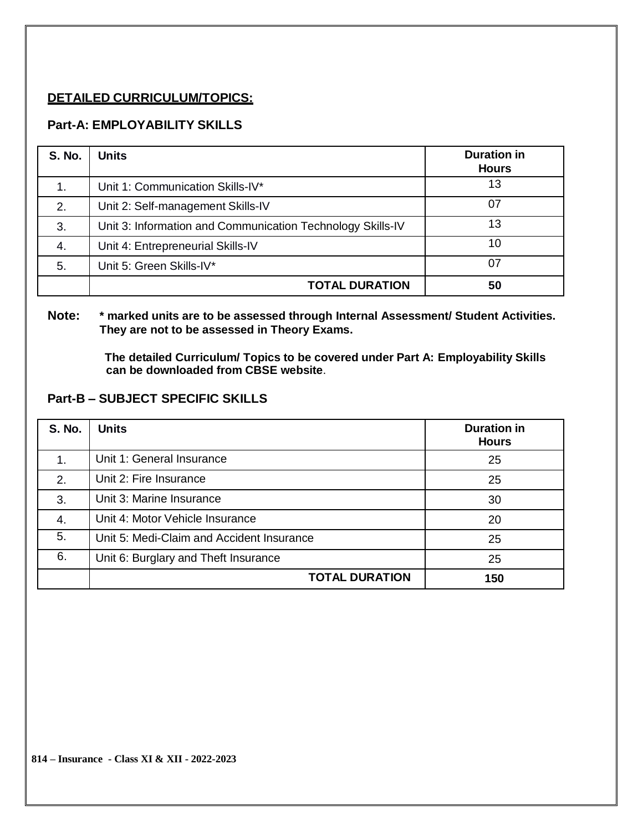### **DETAILED CURRICULUM/TOPICS:**

### **Part-A: EMPLOYABILITY SKILLS**

| <b>S. No.</b> | <b>Units</b>                                               | <b>Duration in</b><br><b>Hours</b> |
|---------------|------------------------------------------------------------|------------------------------------|
| 1.            | Unit 1: Communication Skills-IV*                           | 13                                 |
| 2.            | Unit 2: Self-management Skills-IV                          | 07                                 |
| 3.            | Unit 3: Information and Communication Technology Skills-IV | 13                                 |
| 4.            | Unit 4: Entrepreneurial Skills-IV                          | 10                                 |
| 5.            | Unit 5: Green Skills-IV*                                   | 07                                 |
|               | <b>TOTAL DURATION</b>                                      | 50                                 |

#### **Note: \* marked units are to be assessed through Internal Assessment/ Student Activities. They are not to be assessed in Theory Exams.**

**The detailed Curriculum/ Topics to be covered under Part A: Employability Skills can be downloaded from CBSE website**.

#### **Part-B – SUBJECT SPECIFIC SKILLS**

| <b>S. No.</b> | <b>Units</b>                              | <b>Duration in</b><br><b>Hours</b> |
|---------------|-------------------------------------------|------------------------------------|
| 1.            | Unit 1: General Insurance                 | 25                                 |
| 2.            | Unit 2: Fire Insurance                    | 25                                 |
| 3.            | Unit 3: Marine Insurance                  | 30                                 |
| 4.            | Unit 4: Motor Vehicle Insurance           | 20                                 |
| 5.            | Unit 5: Medi-Claim and Accident Insurance | 25                                 |
| 6.            | Unit 6: Burglary and Theft Insurance      | 25                                 |
|               | <b>TOTAL DURATION</b>                     | 150                                |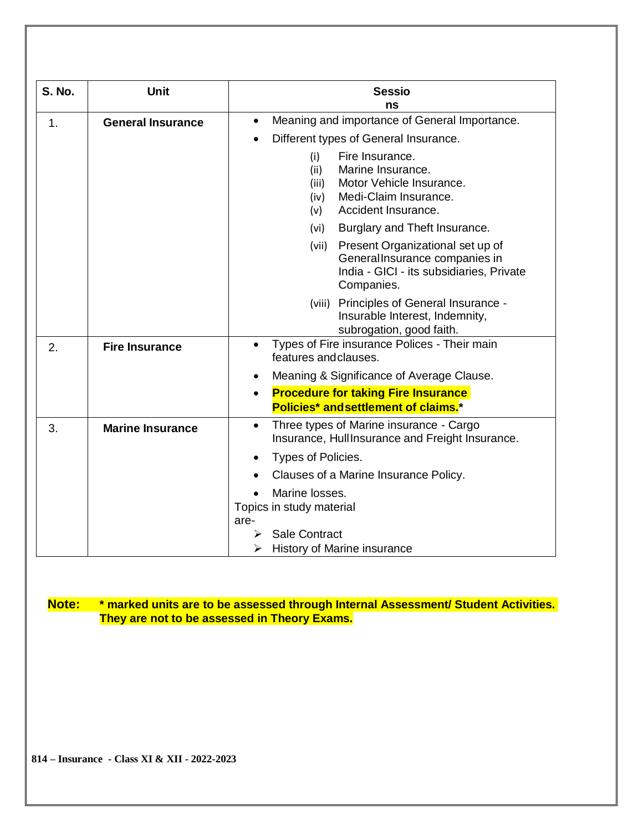| <b>S. No.</b> | <b>Unit</b>              | <b>Sessio</b><br>ns                                                                                                                                                                             |  |
|---------------|--------------------------|-------------------------------------------------------------------------------------------------------------------------------------------------------------------------------------------------|--|
| 1.            | <b>General Insurance</b> | Meaning and importance of General Importance.<br>$\bullet$<br>Different types of General Insurance.<br>Fire Insurance.<br>(i)<br>Marine Insurance.<br>(ii)<br>Motor Vehicle Insurance.<br>(iii) |  |
|               |                          | Medi-Claim Insurance.<br>(iv)<br>Accident Insurance.<br>(v)<br>Burglary and Theft Insurance.<br>(vi)                                                                                            |  |
|               |                          | Present Organizational set up of<br>(vii)<br>General Insurance companies in<br>India - GICI - its subsidiaries, Private<br>Companies.                                                           |  |
|               |                          | (viii) Principles of General Insurance -<br>Insurable Interest, Indemnity,<br>subrogation, good faith.                                                                                          |  |
| 2.            | <b>Fire Insurance</b>    | Types of Fire insurance Polices - Their main<br>$\bullet$<br>features and clauses.                                                                                                              |  |
|               |                          | Meaning & Significance of Average Clause.<br>$\bullet$                                                                                                                                          |  |
|               |                          | <b>Procedure for taking Fire Insurance</b><br>$\bullet$<br>Policies* and settlement of claims.*                                                                                                 |  |
| 3.            | <b>Marine Insurance</b>  | Three types of Marine insurance - Cargo<br>$\bullet$<br>Insurance, Hull Insurance and Freight Insurance.                                                                                        |  |
|               |                          | Types of Policies.                                                                                                                                                                              |  |
|               |                          | Clauses of a Marine Insurance Policy.                                                                                                                                                           |  |
|               |                          | Marine losses.<br>Topics in study material<br>are-                                                                                                                                              |  |
|               |                          | <b>Sale Contract</b><br>History of Marine insurance<br>⋗                                                                                                                                        |  |

### **Note: \* marked units are to be assessed through Internal Assessment/ Student Activities. They are not to be assessed in Theory Exams.**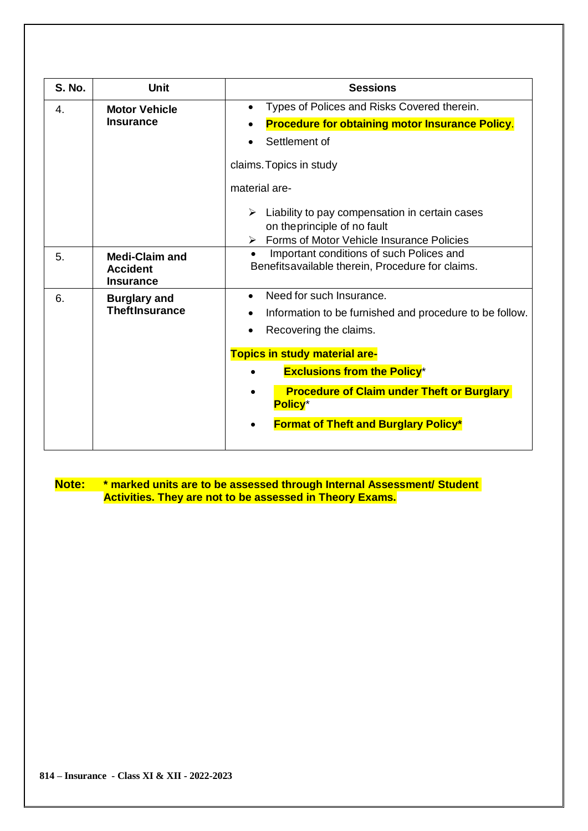| <b>S. No.</b>          | <b>Unit</b>                                                  | <b>Sessions</b>                                                                                                                              |
|------------------------|--------------------------------------------------------------|----------------------------------------------------------------------------------------------------------------------------------------------|
| 4.<br><b>Insurance</b> | <b>Motor Vehicle</b>                                         | Types of Polices and Risks Covered therein.<br>$\bullet$                                                                                     |
|                        |                                                              | <b>Procedure for obtaining motor Insurance Policy.</b>                                                                                       |
|                        |                                                              | Settlement of                                                                                                                                |
|                        |                                                              | claims. Topics in study                                                                                                                      |
|                        |                                                              | material are-                                                                                                                                |
|                        |                                                              | $\triangleright$ Liability to pay compensation in certain cases<br>on the principle of no fault<br>Forms of Motor Vehicle Insurance Policies |
| 5.                     | <b>Medi-Claim and</b><br><b>Accident</b><br><b>Insurance</b> | Important conditions of such Polices and<br>Benefitsavailable therein, Procedure for claims.                                                 |
| 6.                     | <b>Burglary and</b><br><b>TheftInsurance</b>                 | Need for such Insurance.<br>$\bullet$<br>Information to be furnished and procedure to be follow.<br>Recovering the claims.                   |
|                        |                                                              | <b>Topics in study material are-</b>                                                                                                         |
|                        |                                                              | <b>Exclusions from the Policy*</b>                                                                                                           |
|                        |                                                              | <b>Procedure of Claim under Theft or Burglary</b><br><b>Policy</b> *                                                                         |
|                        |                                                              | <b>Format of Theft and Burglary Policy*</b>                                                                                                  |

**Note: \* marked units are to be assessed through Internal Assessment/ Student Activities. They are not to be assessed in Theory Exams.**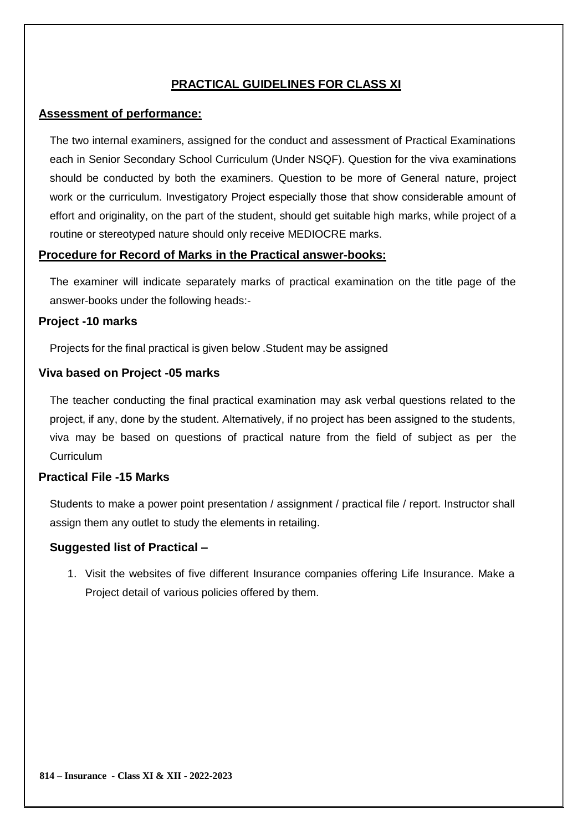### **PRACTICAL GUIDELINES FOR CLASS XI**

#### **Assessment of performance:**

The two internal examiners, assigned for the conduct and assessment of Practical Examinations each in Senior Secondary School Curriculum (Under NSQF). Question for the viva examinations should be conducted by both the examiners. Question to be more of General nature, project work or the curriculum. Investigatory Project especially those that show considerable amount of effort and originality, on the part of the student, should get suitable high marks, while project of a routine or stereotyped nature should only receive MEDIOCRE marks.

#### **Procedure for Record of Marks in the Practical answer-books:**

The examiner will indicate separately marks of practical examination on the title page of the answer-books under the following heads:-

#### **Project -10 marks**

Projects for the final practical is given below .Student may be assigned

#### **Viva based on Project -05 marks**

The teacher conducting the final practical examination may ask verbal questions related to the project, if any, done by the student. Alternatively, if no project has been assigned to the students, viva may be based on questions of practical nature from the field of subject as per the **Curriculum** 

#### **Practical File -15 Marks**

Students to make a power point presentation / assignment / practical file / report. Instructor shall assign them any outlet to study the elements in retailing.

#### **Suggested list of Practical –**

1. Visit the websites of five different Insurance companies offering Life Insurance. Make a Project detail of various policies offered by them.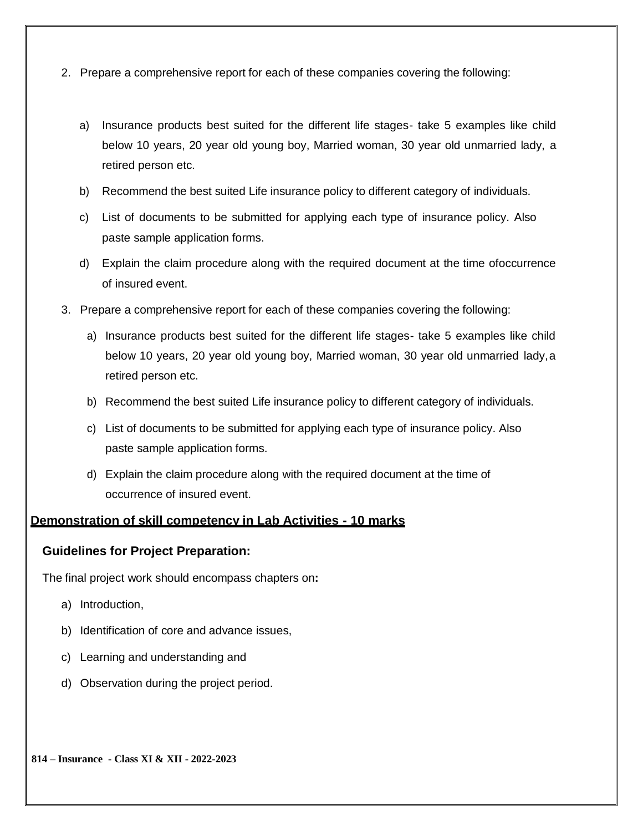- 2. Prepare a comprehensive report for each of these companies covering the following:
	- a) Insurance products best suited for the different life stages- take 5 examples like child below 10 years, 20 year old young boy, Married woman, 30 year old unmarried lady, a retired person etc.
	- b) Recommend the best suited Life insurance policy to different category of individuals.
	- c) List of documents to be submitted for applying each type of insurance policy. Also paste sample application forms.
	- d) Explain the claim procedure along with the required document at the time ofoccurrence of insured event.
- 3. Prepare a comprehensive report for each of these companies covering the following:
	- a) Insurance products best suited for the different life stages- take 5 examples like child below 10 years, 20 year old young boy, Married woman, 30 year old unmarried lady,a retired person etc.
	- b) Recommend the best suited Life insurance policy to different category of individuals.
	- c) List of documents to be submitted for applying each type of insurance policy. Also paste sample application forms.
	- d) Explain the claim procedure along with the required document at the time of occurrence of insured event.

#### **Demonstration of skill competency in Lab Activities - 10 marks**

#### **Guidelines for Project Preparation:**

The final project work should encompass chapters on**:**

- a) Introduction,
- b) Identification of core and advance issues,
- c) Learning and understanding and
- d) Observation during the project period.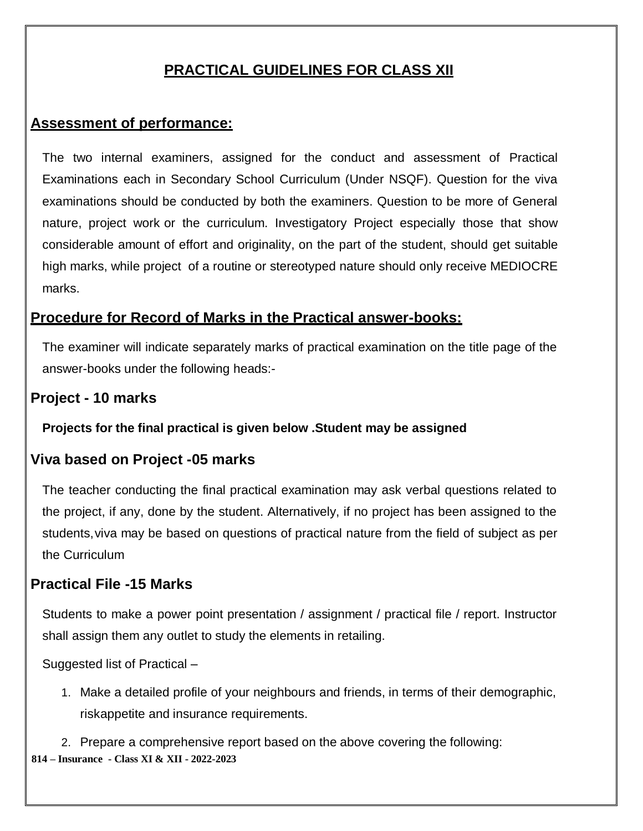# **PRACTICAL GUIDELINES FOR CLASS XII**

# **Assessment of performance:**

The two internal examiners, assigned for the conduct and assessment of Practical Examinations each in Secondary School Curriculum (Under NSQF). Question for the viva examinations should be conducted by both the examiners. Question to be more of General nature, project work or the curriculum. Investigatory Project especially those that show considerable amount of effort and originality, on the part of the student, should get suitable high marks, while project of a routine or stereotyped nature should only receive MEDIOCRE marks.

# **Procedure for Record of Marks in the Practical answer-books:**

The examiner will indicate separately marks of practical examination on the title page of the answer-books under the following heads:-

# **Project - 10 marks**

### **Projects for the final practical is given below .Student may be assigned**

# **Viva based on Project -05 marks**

The teacher conducting the final practical examination may ask verbal questions related to the project, if any, done by the student. Alternatively, if no project has been assigned to the students, viva may be based on questions of practical nature from the field of subject as per the Curriculum

# **Practical File -15 Marks**

Students to make a power point presentation / assignment / practical file / report. Instructor shall assign them any outlet to study the elements in retailing.

Suggested list of Practical –

1. Make a detailed profile of your neighbours and friends, in terms of their demographic, riskappetite and insurance requirements.

**814 – Insurance - Class XI & XII - 2022-2023** 2. Prepare a comprehensive report based on the above covering the following: